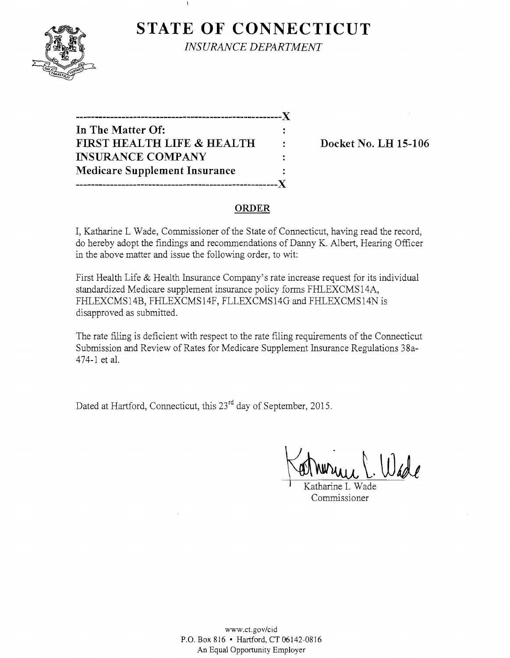

**STATE OF CONNECTICUT** *INSURANCE DEPARTMENT* 

---------------------------X **In The Matter Of:**  FIRST HEALTH LIFE & HEALTH : Docket No. LH 15-106 **INSURANCE COMPANY Medicare Supplement Insurance -----------------------------------------------------)(** 

 $\overline{1}$ 

### **ORDER**

÷

 $\ddot{\cdot}$ ÷

I, Katharine L Wade, Commissioner of the State of Connecticut, having read the record, do hereby adopt the findings and recommendations of Danny K. Albert, Hearing Officer in the above matter and issue the following order, to wit:

First Health Life & Health Insurance Company's rate increase request for its individual standardized Medicare supplement insurance policy forms FHLEXCMS14A, FHLEXCMS14B, FHLEXCMS14F, FLLEXCMS14G and FHLEXCMS14N is disapproved as submitted.

The rate filing is deficient with respect to the rate filing requirements of the Connecticut Submission and Review of Rates for Medicare Supplement Insurance Regulations 38a-474-1 et al.

Dated at Hartford, Connecticut, this 23<sup>rd</sup> day of September, 2015.

Katharine L Wade Commissioner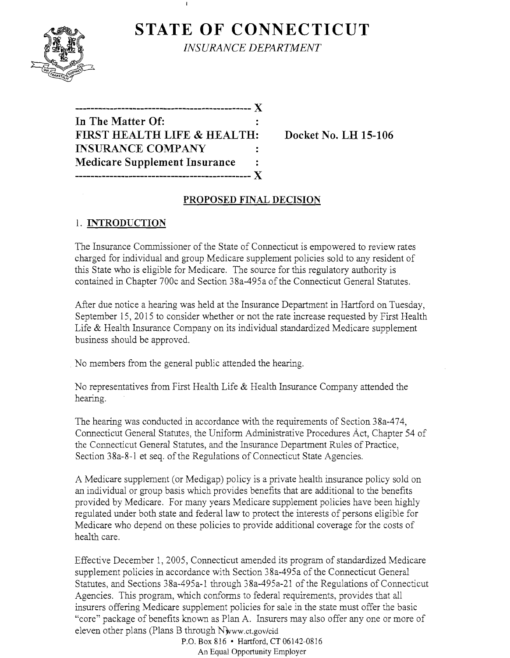# **STATE OF CONNECTICUT**



*INSURANCE DEPARTMENT* 

| In The Matter Of:                    |  |
|--------------------------------------|--|
| FIRST HEALTH LIFE & HEALTH:          |  |
| <b>INSURANCE COMPANY</b>             |  |
| <b>Medicare Supplement Insurance</b> |  |
| ------------------------------       |  |

**FIRMS EXECUTE: FIGURE 15-106** 

### **PROPOSED FINAL DECISION**

## 1. **INTRODUCTION**

The Insurance Commissioner of the State of Connecticut is empowered to review rates charged for individual and group Medicare supplement policies sold to any resident of this State who is eligible for Medicare. The source for this regulatory authority is contained in Chapter 700c and Section 38a-495a ofthe Connecticut General Statutes.

After due notice a hearing was held at the Insurance Department in Hartford on Tuesday, September 15, 2015 to consider whether or not the rate increase requested by First Health Life & Health Insurance Company on its individual standardized Medicare supplement business should be approved.

No members from the general public attended the hearing.

No representatives from First Health Life & Health Insurance Company attended the hearing.

The hearing was conducted in accordance with the requirements of Section 38a-474, Connecticut General Statutes, the Uniform Administrative Procedures Act, Chapter 54 of the Connecticut General Statutes, and the Insurance Department Rules of Practice, Section 38a-8-l et seq. of the Regulations of Connecticut State Agencies.

A Medicare supplement (or Medigap) policy is a private health insurance policy sold on an individual or group basis which provides benefits that are additional to the benefits provided by Medicare. For many years Medicare supplement policies have been highly regulated under both state and federal law to protect the interests of persons eligible for Medicare who depend on these policies to provide additional coverage for the costs of health care.

Effective December 1, 2005, Connecticut amended its program of standardized Medicare supplement policies in accordance with Section 38a-495a of the Connecticut General Statutes, and Sections 38a-495a-1 through 38a-495a-21 of the Regulations of Connecticut Agencies. This program, which conforms to federal requirements, provides that all insurers offering Medicare supplement policies for sale in the state must offer the basic "core" package of benefits known as Plan A. Insurers may also offer anyone or more of eleven other plans (Plans B through Nwww.ct.gov/cid

P.O. Box 816 • Hartford, CT 06142-0816 An Equal Opportunity Employer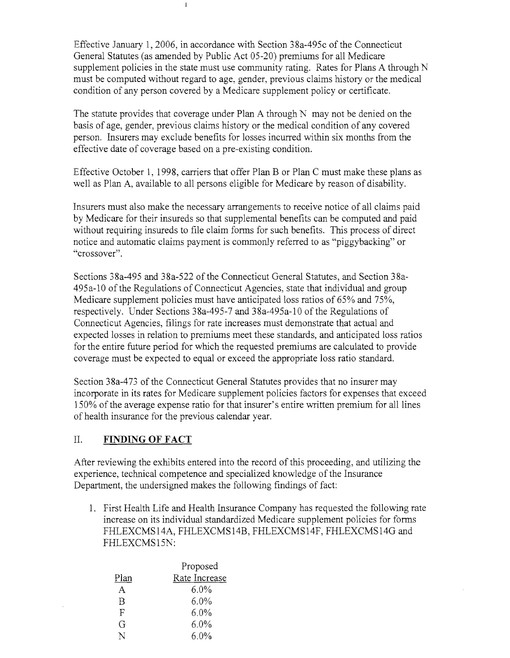Effective January 1,2006, in accordance with Section 38a-495c of the Connecticut General Statutes (as amended by Public Act 05-20) premiums for all Medicare supplement policies in the state must use community rating. Rates for Plans A through N must be computed without regard to age, gender, previous claims history or the medical condition of any person covered by a Medicare supplement policy or certificate.

 $\mathbf I$ 

The statute provides that coverage under Plan A through N may not be denied on the basis of age, gender, previous claims history or the medical condition of any covered person. Insurers may exclude benefits for losses incurred within six months from the effective date of coverage based on a pre-existing condition.

Effective October 1, 1998, carriers that offer Plan B or Plan C must make these plans as well as Plan A, available to all persons eligible for Medicare by reason of disability.

Insurers must also make the necessary arrangements to receive notice of all claims paid by Medicare for their insureds so that supplemental benefits can be computed and paid without requiring insureds to file claim forms for such benefits. This process of direct notice and automatic claims payment is commonly referred to as "piggybacking" or "crossover".

Sections 38a-495 and 38a-522 of the Connecticut General Statutes, and Section 38a-495a-10 ofthe Regulations of Connecticut Agencies, state that individual and group Medicare supplement policies must have anticipated loss ratios of 65% and 75%, respectively. Under Sections 38a-495-7 and 38a-495a-10 of the Regulations of Connecticut Agencies, filings for rate increases must demonstrate that actual and expected losses in relation to premiums meet these standards, and anticipated loss ratios for the entire future period for which the requested premiums are calculated to provide coverage must be expected to equal or exceed the appropriate loss ratio standard.

Section 38a-473 of the Connecticut General Statutes provides that no insurer may incorporate in its rates for Medicare supplement policies factors for expenses that exceed 150% of the average expense ratio for that insurer's entire written premium for all lines of health insurance for the previous calendar year.

#### II. **FINDING OF FACT**

After reviewing the exhibits entered into the record of this proceeding, and utilizing the experience, technical competence and specialized knowledge of the Insurance Department, the undersigned makes the following findings of fact:

1. First Health Life and Health Insurance Company has requested the following rate increase on its individual standardized Medicare supplement policies for forms FHLEXCMS14A, FHLEXCMS14B, FHLEXCMS14F, FHLEXCMS14G and FHLEXCMS15N:

|      | Proposed      |
|------|---------------|
| Plan | Rate Increase |
| A    | $6.0\%$       |
| B    | $6.0\%$       |
| F    | $6.0\%$       |
| G    | $6.0\%$       |
|      | $6.0\%$       |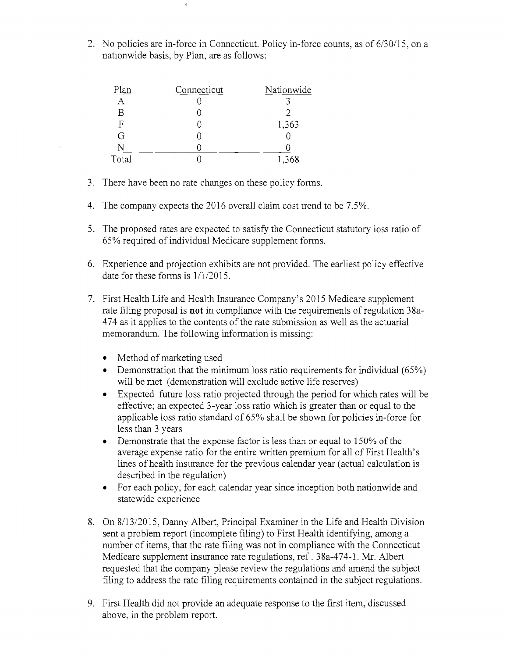2. No policies are in-force in Connecticut. Policy in-force counts, as of 6/30/15, on a nationwide basis, by Plan, are as follows:

| Plan  | Connecticut | Nationwide |
|-------|-------------|------------|
|       |             |            |
| Β     |             |            |
| F     |             | 1,363      |
| G     |             |            |
|       |             |            |
| Total |             | 1,368      |

 $\bar{\mathbf{t}}$ 

- 3. There have been no rate changes on these policy forms.
- 4. The company expects the 2016 overall claim cost trend to be 7.5%.
- 5. The proposed rates are expected to satisfy the Connecticut statutory loss ratio of 65% required of individual Medicare supplement forms,
- 6. Experience and projection exhibits are not provided. The earliest policy effective date for these forms is 1/1/2015.
- 7. First Health Life and Health Insurance Company's 2015 Medicare supplement rate filing proposal is **not** in compliance with the requirements of regulation 38a-474 as it applies to the contents of the rate submission as well as the actuarial memorandum. The following information is missing:
	- Method of marketing used
	- Demonstration that the minimum loss ratio requirements for individual  $(65%)$ will be met (demonstration will exclude active life reserves)
	- Expected future loss ratio projected through the period for which rates will be effective; an expected 3-year loss ratio which is greater than or equal to the applicable loss ratio standard of 65% shall be shown for policies in-force for less than 3 years
	- Demonstrate that the expense factor is less than or equal to 150% of the average expense ratio for the entire written premium for all of First Health's lines of health insurance for the previous calendar year (actual calculation is described in the regulation)
	- For each policy, for each calendar year since inception both nationwide and statewide experience
- 8. On 8/13/2015, Danny Albert, Principal Examiner in the Life and Health Division sent a problem report (incomplete filing) to First Health identifying, among a number of items, that the rate filing was not in compliance with the Connecticut Medicare supplement insurance rate regulations, ref. 38a-474-1. Mr. Albert requested that the company please review the regulations and amend the subject filing to address the rate filing requirements contained in the subject regulations.
- 9. First Health did not provide an adequate response to the first item, discussed above, in the problem report.